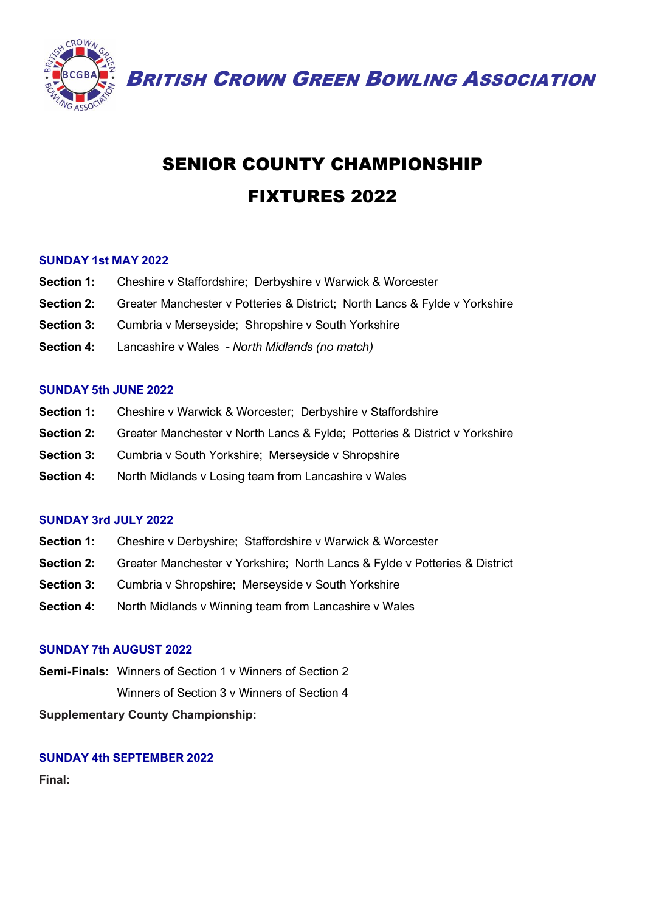

BRITISH CROWN GREEN BOWLING ASSOCIATION

# SENIOR COUNTY CHAMPIONSHIP FIXTURES 2022

### **SUNDAY 1st MAY 2022**

- **Section 1:** Cheshire v Staffordshire; Derbyshire v Warwick & Worcester
- **Section 2:** Greater Manchester v Potteries & District; North Lancs & Fylde v Yorkshire
- **Section 3:** Cumbria v Merseyside; Shropshire v South Yorkshire
- **Section 4:** Lancashire v Wales *- North Midlands (no match)*

#### **SUNDAY 5th JUNE 2022**

- **Section 1:** Cheshire v Warwick & Worcester; Derbyshire v Staffordshire
- **Section 2:** Greater Manchester v North Lancs & Fylde; Potteries & District v Yorkshire
- **Section 3:** Cumbria v South Yorkshire; Merseyside v Shropshire
- **Section 4:** North Midlands v Losing team from Lancashire v Wales

### **SUNDAY 3rd JULY 2022**

- **Section 1:** Cheshire v Derbyshire; Staffordshire v Warwick & Worcester
- **Section 2:** Greater Manchester v Yorkshire; North Lancs & Fylde v Potteries & District
- **Section 3:** Cumbria v Shropshire; Merseyside v South Yorkshire
- **Section 4:** North Midlands v Winning team from Lancashire v Wales

### **SUNDAY 7th AUGUST 2022**

**Semi-Finals:** Winners of Section 1 v Winners of Section 2 Winners of Section 3 v Winners of Section 4

**Supplementary County Championship:**

### **SUNDAY 4th SEPTEMBER 2022**

**Final:**